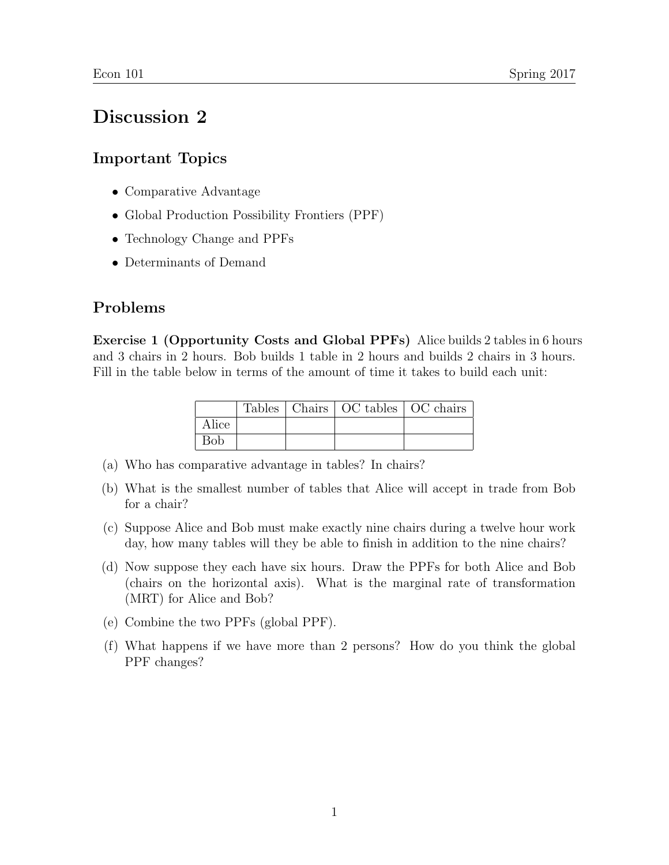## Discussion 2

## Important Topics

- Comparative Advantage
- Global Production Possibility Frontiers (PPF)
- Technology Change and PPFs
- Determinants of Demand

## Problems

Exercise 1 (Opportunity Costs and Global PPFs) Alice builds 2 tables in 6 hours and 3 chairs in 2 hours. Bob builds 1 table in 2 hours and builds 2 chairs in 3 hours. Fill in the table below in terms of the amount of time it takes to build each unit:

|            |  | Tables   Chairs   OC tables   OC chairs |  |
|------------|--|-----------------------------------------|--|
| Alice      |  |                                         |  |
| <b>Bob</b> |  |                                         |  |

- (a) Who has comparative advantage in tables? In chairs?
- (b) What is the smallest number of tables that Alice will accept in trade from Bob for a chair?
- (c) Suppose Alice and Bob must make exactly nine chairs during a twelve hour work day, how many tables will they be able to finish in addition to the nine chairs?
- (d) Now suppose they each have six hours. Draw the PPFs for both Alice and Bob (chairs on the horizontal axis). What is the marginal rate of transformation (MRT) for Alice and Bob?
- (e) Combine the two PPFs (global PPF).
- (f) What happens if we have more than 2 persons? How do you think the global PPF changes?